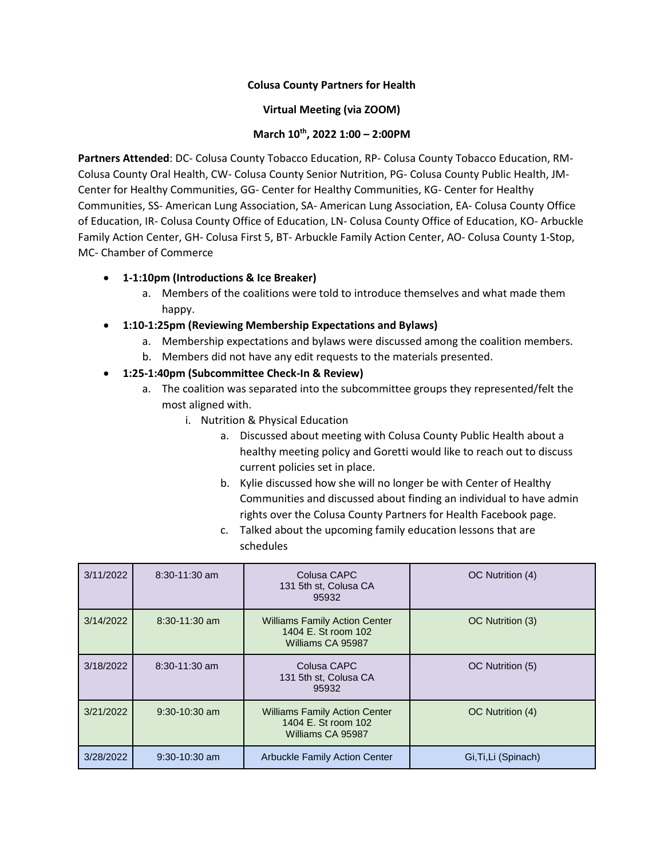### **Colusa County Partners for Health**

#### **Virtual Meeting (via ZOOM)**

### **March 10th, 2022 1:00 – 2:00PM**

**Partners Attended**: DC- Colusa County Tobacco Education, RP- Colusa County Tobacco Education, RM-Colusa County Oral Health, CW- Colusa County Senior Nutrition, PG- Colusa County Public Health, JM-Center for Healthy Communities, GG- Center for Healthy Communities, KG- Center for Healthy Communities, SS- American Lung Association, SA- American Lung Association, EA- Colusa County Office of Education, IR- Colusa County Office of Education, LN- Colusa County Office of Education, KO- Arbuckle Family Action Center, GH- Colusa First 5, BT- Arbuckle Family Action Center, AO- Colusa County 1-Stop, MC- Chamber of Commerce

### **1-1:10pm (Introductions & Ice Breaker)**

- a. Members of the coalitions were told to introduce themselves and what made them happy.
- **1:10-1:25pm (Reviewing Membership Expectations and Bylaws)**
	- a. Membership expectations and bylaws were discussed among the coalition members.
	- b. Members did not have any edit requests to the materials presented.

# **1:25-1:40pm (Subcommittee Check-In & Review)**

- a. The coalition was separated into the subcommittee groups they represented/felt the most aligned with.
	- i. Nutrition & Physical Education
		- a. Discussed about meeting with Colusa County Public Health about a healthy meeting policy and Goretti would like to reach out to discuss current policies set in place.
		- b. Kylie discussed how she will no longer be with Center of Healthy Communities and discussed about finding an individual to have admin rights over the Colusa County Partners for Health Facebook page.
		- c. Talked about the upcoming family education lessons that are schedules

| 3/11/2022 | $8:30-11:30$ am | Colusa CAPC<br>131 5th st, Colusa CA<br>95932                                    | OC Nutrition (4)     |
|-----------|-----------------|----------------------------------------------------------------------------------|----------------------|
| 3/14/2022 | $8:30-11:30$ am | <b>Williams Family Action Center</b><br>1404 E. St room 102<br>Williams CA 95987 | OC Nutrition (3)     |
| 3/18/2022 | $8:30-11:30$ am | Colusa CAPC<br>131 5th st, Colusa CA<br>95932                                    | OC Nutrition (5)     |
| 3/21/2022 | $9:30-10:30$ am | <b>Williams Family Action Center</b><br>1404 E. St room 102<br>Williams CA 95987 | OC Nutrition (4)     |
| 3/28/2022 | $9:30-10:30$ am | <b>Arbuckle Family Action Center</b>                                             | Gi, Ti, Li (Spinach) |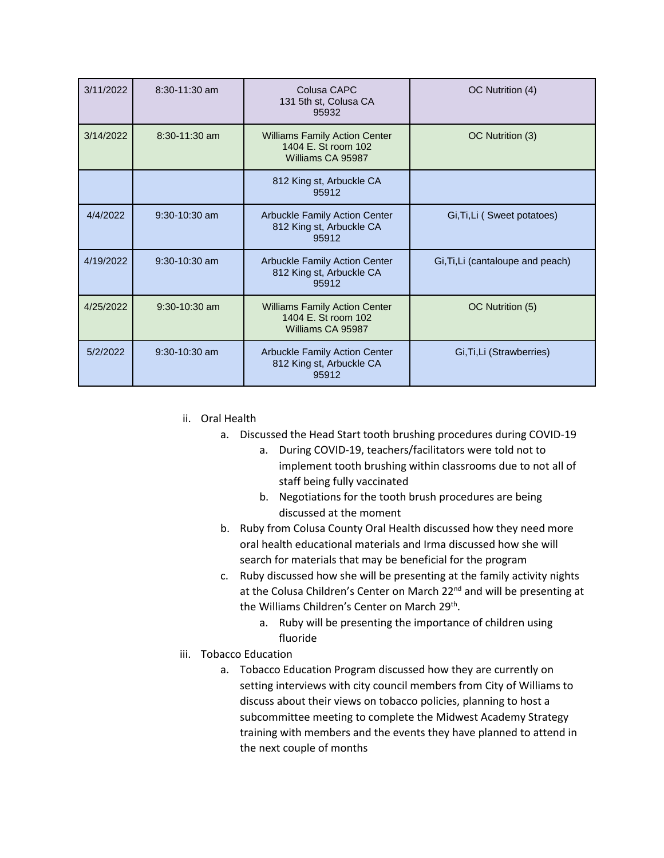| 3/11/2022 | 8:30-11:30 am   | Colusa CAPC<br>131 5th st, Colusa CA<br>95932                                    | OC Nutrition (4)                  |
|-----------|-----------------|----------------------------------------------------------------------------------|-----------------------------------|
| 3/14/2022 | $8:30-11:30$ am | <b>Williams Family Action Center</b><br>1404 E. St room 102<br>Williams CA 95987 | OC Nutrition (3)                  |
|           |                 | 812 King st, Arbuckle CA<br>95912                                                |                                   |
| 4/4/2022  | $9:30-10:30$ am | <b>Arbuckle Family Action Center</b><br>812 King st, Arbuckle CA<br>95912        | Gi, Ti, Li (Sweet potatoes)       |
| 4/19/2022 | $9:30-10:30$ am | Arbuckle Family Action Center<br>812 King st, Arbuckle CA<br>95912               | Gi, Ti, Li (cantaloupe and peach) |
| 4/25/2022 | $9:30-10:30$ am | <b>Williams Family Action Center</b><br>1404 E. St room 102<br>Williams CA 95987 | OC Nutrition (5)                  |
| 5/2/2022  | $9:30-10:30$ am | <b>Arbuckle Family Action Center</b><br>812 King st, Arbuckle CA<br>95912        | Gi, Ti, Li (Strawberries)         |

- ii. Oral Health
	- a. Discussed the Head Start tooth brushing procedures during COVID-19
		- a. During COVID-19, teachers/facilitators were told not to implement tooth brushing within classrooms due to not all of staff being fully vaccinated
		- b. Negotiations for the tooth brush procedures are being discussed at the moment
	- b. Ruby from Colusa County Oral Health discussed how they need more oral health educational materials and Irma discussed how she will search for materials that may be beneficial for the program
	- c. Ruby discussed how she will be presenting at the family activity nights at the Colusa Children's Center on March 22<sup>nd</sup> and will be presenting at the Williams Children's Center on March 29<sup>th</sup>.
		- a. Ruby will be presenting the importance of children using fluoride
- iii. Tobacco Education
	- a. Tobacco Education Program discussed how they are currently on setting interviews with city council members from City of Williams to discuss about their views on tobacco policies, planning to host a subcommittee meeting to complete the Midwest Academy Strategy training with members and the events they have planned to attend in the next couple of months